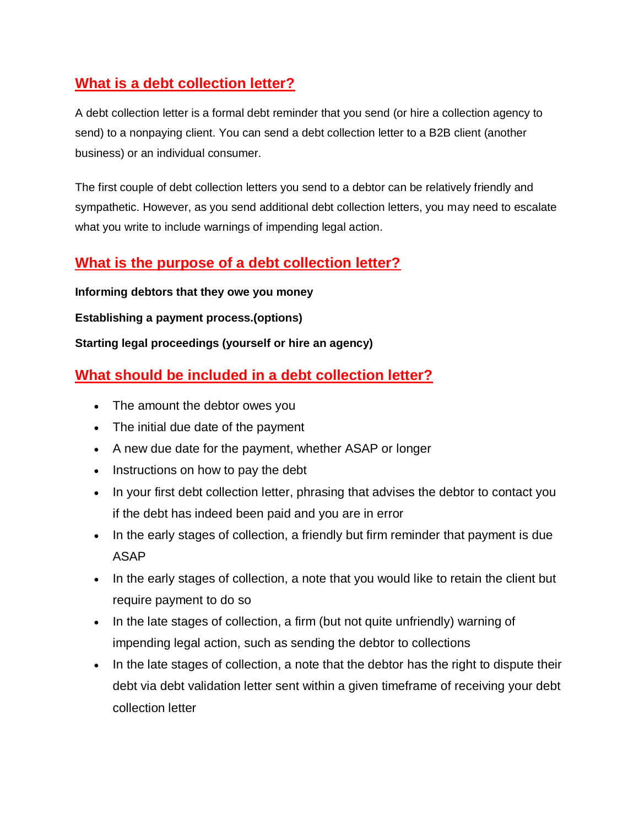## **What is a debt collection letter?**

A debt collection letter is a formal debt reminder that you send (or hire a collection agency to send) to a [nonpaying client.](https://www.businessnewsdaily.com/8246-non-paying-customers.html) You can send a debt collection letter to a B2B client (another business) or an individual consumer.

The first couple of debt collection letters you send to a debtor can be relatively friendly and sympathetic. However, as you send additional debt collection letters, you may need to escalate what you write to include warnings of impending legal action.

#### **What is the purpose of a debt collection letter?**

**Informing debtors that they owe you money**

**Establishing a payment process.(options)**

**Starting legal proceedings (yourself or hire an agency)**

## **What should be included in a debt collection letter?**

- The amount the debtor owes you
- The initial due date of the payment
- A new due date for the payment, whether ASAP or longer
- Instructions on how to pay the debt
- In your first debt collection letter, phrasing that advises the debtor to contact you if the debt has indeed been paid and you are in error
- In the early stages of collection, a friendly but firm reminder that payment is due ASAP
- In the early stages of collection, a note that you would like to retain the client but require payment to do so
- In the late stages of collection, a firm (but not quite unfriendly) warning of impending legal action, such as sending the debtor to collections
- In the late stages of collection, a note that the debtor has the right to dispute their debt via debt validation letter sent within a given timeframe of receiving your debt collection letter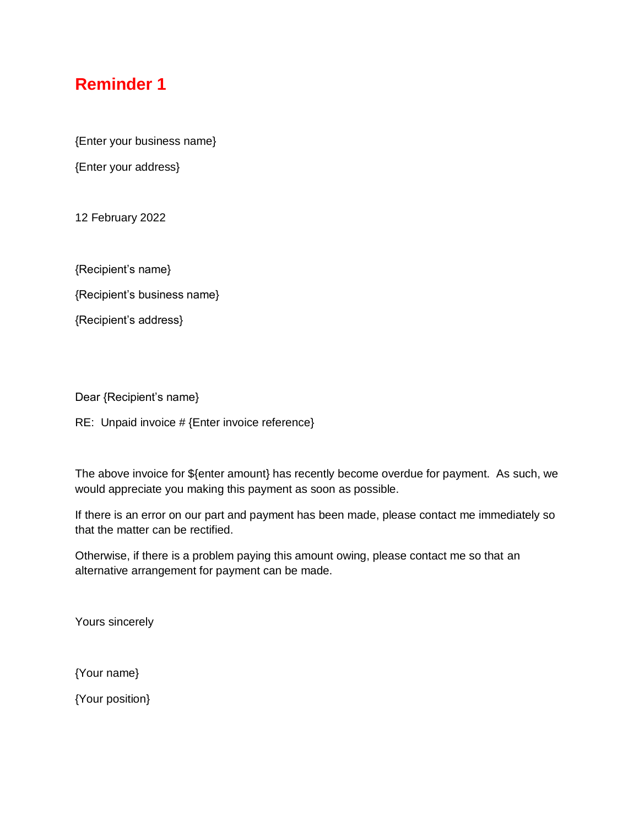# **Reminder 1**

{Enter your business name}

{Enter your address}

12 February 2022

{Recipient's name}

{Recipient's business name}

{Recipient's address}

Dear {Recipient's name}

RE: Unpaid invoice # {Enter invoice reference}

The above invoice for \${enter amount} has recently become overdue for payment. As such, we would appreciate you making this payment as soon as possible.

If there is an error on our part and payment has been made, please contact me immediately so that the matter can be rectified.

Otherwise, if there is a problem paying this amount owing, please contact me so that an alternative arrangement for payment can be made.

Yours sincerely

{Your name}

{Your position}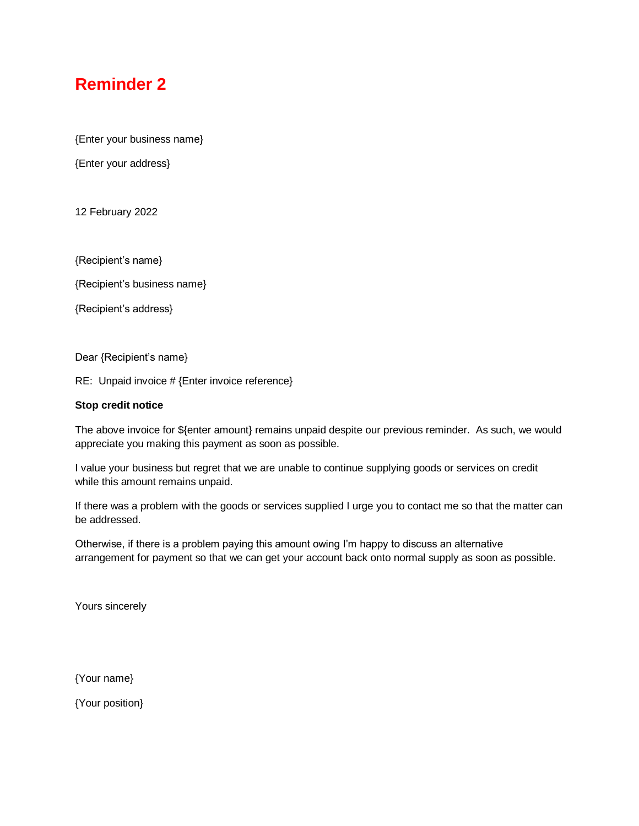## **Reminder 2**

{Enter your business name}

{Enter your address}

12 February 2022

{Recipient's name}

{Recipient's business name}

{Recipient's address}

Dear {Recipient's name}

RE: Unpaid invoice # {Enter invoice reference}

#### **Stop credit notice**

The above invoice for \${enter amount} remains unpaid despite our previous reminder. As such, we would appreciate you making this payment as soon as possible.

I value your business but regret that we are unable to continue supplying goods or services on credit while this amount remains unpaid.

If there was a problem with the goods or services supplied I urge you to contact me so that the matter can be addressed.

Otherwise, if there is a problem paying this amount owing I'm happy to discuss an alternative arrangement for payment so that we can get your account back onto normal supply as soon as possible.

Yours sincerely

{Your name}

{Your position}